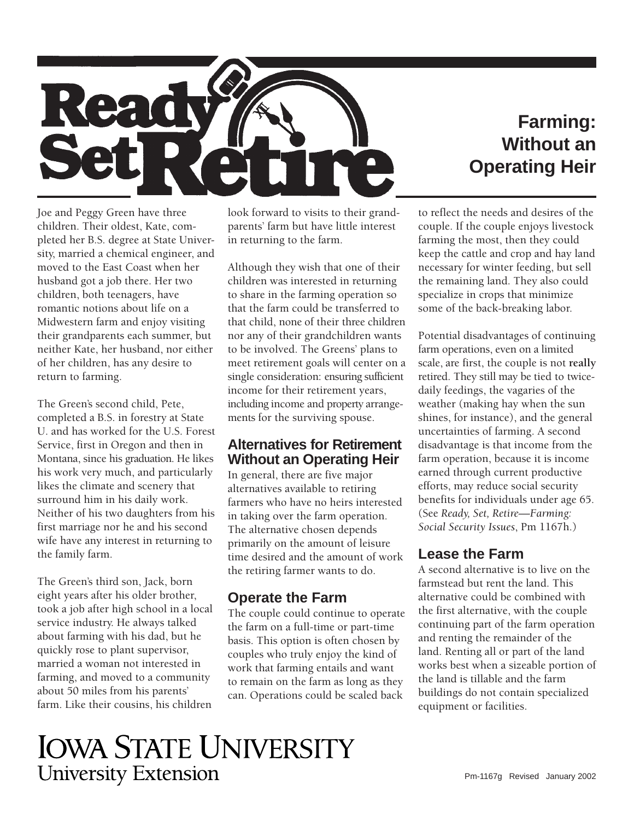

# **Farming: Without an Operating Heir**

Joe and Peggy Green have three children. Their oldest, Kate, completed her B.S. degree at State University, married a chemical engineer, and moved to the East Coast when her husband got a job there. Her two children, both teenagers, have romantic notions about life on a Midwestern farm and enjoy visiting their grandparents each summer, but neither Kate, her husband, nor either of her children, has any desire to return to farming.

The Green's second child, Pete, completed a B.S. in forestry at State U. and has worked for the U.S. Forest Service, first in Oregon and then in Montana, since his graduation. He likes his work very much, and particularly likes the climate and scenery that surround him in his daily work. Neither of his two daughters from his first marriage nor he and his second wife have any interest in returning to the family farm.

The Green's third son, Jack, born eight years after his older brother, took a job after high school in a local service industry. He always talked about farming with his dad, but he quickly rose to plant supervisor, married a woman not interested in farming, and moved to a community about 50 miles from his parents' farm. Like their cousins, his children

look forward to visits to their grandparents' farm but have little interest in returning to the farm.

Although they wish that one of their children was interested in returning to share in the farming operation so that the farm could be transferred to that child, none of their three children nor any of their grandchildren wants to be involved. The Greens' plans to meet retirement goals will center on a single consideration: ensuring sufficient income for their retirement years, including income and property arrangements for the surviving spouse.

# **Alternatives for Retirement Without an Operating Heir**

In general, there are five major alternatives available to retiring farmers who have no heirs interested in taking over the farm operation. The alternative chosen depends primarily on the amount of leisure time desired and the amount of work the retiring farmer wants to do.

# **Operate the Farm**

The couple could continue to operate the farm on a full-time or part-time basis. This option is often chosen by couples who truly enjoy the kind of work that farming entails and want to remain on the farm as long as they can. Operations could be scaled back

to reflect the needs and desires of the couple. If the couple enjoys livestock farming the most, then they could keep the cattle and crop and hay land necessary for winter feeding, but sell the remaining land. They also could specialize in crops that minimize some of the back-breaking labor.

Potential disadvantages of continuing farm operations, even on a limited scale, are first, the couple is not **really**  retired. They still may be tied to twicedaily feedings, the vagaries of the weather (making hay when the sun shines, for instance), and the general uncertainties of farming. A second disadvantage is that income from the farm operation, because it is income earned through current productive efforts, may reduce social security benefits for individuals under age 65. (See *Ready, Set, Retire—Farming: Social Security Issues*, Pm 1167h.)

# **Lease the Farm**

A second alternative is to live on the farmstead but rent the land. This alternative could be combined with the first alternative, with the couple continuing part of the farm operation and renting the remainder of the land. Renting all or part of the land works best when a sizeable portion of the land is tillable and the farm buildings do not contain specialized equipment or facilities.

# **IOWA STATE UNIVERSITY University Extension**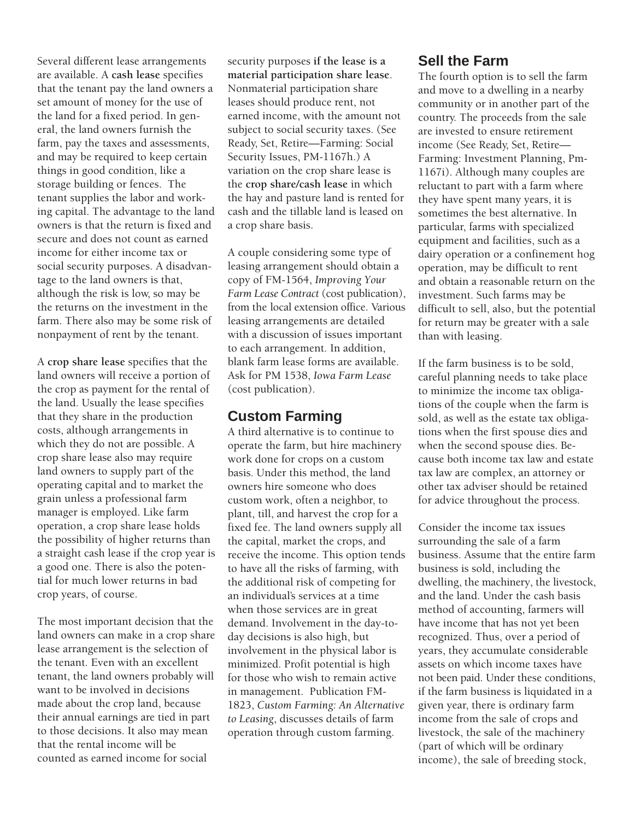Several different lease arrangements are available. A **cash lease** specifies that the tenant pay the land owners a set amount of money for the use of the land for a fixed period. In general, the land owners furnish the farm, pay the taxes and assessments, and may be required to keep certain things in good condition, like a storage building or fences. The tenant supplies the labor and working capital. The advantage to the land owners is that the return is fixed and secure and does not count as earned income for either income tax or social security purposes. A disadvantage to the land owners is that, although the risk is low, so may be the returns on the investment in the farm. There also may be some risk of nonpayment of rent by the tenant.

A **crop share lease** specifies that the land owners will receive a portion of the crop as payment for the rental of the land. Usually the lease specifies that they share in the production costs, although arrangements in which they do not are possible. A crop share lease also may require land owners to supply part of the operating capital and to market the grain unless a professional farm manager is employed. Like farm operation, a crop share lease holds the possibility of higher returns than a straight cash lease if the crop year is a good one. There is also the potential for much lower returns in bad crop years, of course.

The most important decision that the land owners can make in a crop share lease arrangement is the selection of the tenant. Even with an excellent tenant, the land owners probably will want to be involved in decisions made about the crop land, because their annual earnings are tied in part to those decisions. It also may mean that the rental income will be counted as earned income for social

security purposes **if the lease is a material participation share lease**. Nonmaterial participation share leases should produce rent, not earned income, with the amount not subject to social security taxes. (See Ready, Set, Retire—Farming: Social Security Issues, PM-1167h.) A variation on the crop share lease is the **crop share/cash lease** in which the hay and pasture land is rented for cash and the tillable land is leased on a crop share basis.

A couple considering some type of leasing arrangement should obtain a copy of FM-1564, *Improving Your Farm Lease Contract* (cost publication), from the local extension office. Various leasing arrangements are detailed with a discussion of issues important to each arrangement. In addition, blank farm lease forms are available. Ask for PM 1538, *Iowa Farm Lease*  (cost publication).

#### **Custom Farming**

A third alternative is to continue to operate the farm, but hire machinery work done for crops on a custom basis. Under this method, the land owners hire someone who does custom work, often a neighbor, to plant, till, and harvest the crop for a fixed fee. The land owners supply all the capital, market the crops, and receive the income. This option tends to have all the risks of farming, with the additional risk of competing for an individual's services at a time when those services are in great demand. Involvement in the day-today decisions is also high, but involvement in the physical labor is minimized. Profit potential is high for those who wish to remain active in management. Publication FM-1823, *Custom Farming: An Alternative to Leasing*, discusses details of farm operation through custom farming.

#### **Sell the Farm**

The fourth option is to sell the farm and move to a dwelling in a nearby community or in another part of the country. The proceeds from the sale are invested to ensure retirement income (See Ready, Set, Retire— Farming: Investment Planning, Pm-1167i). Although many couples are reluctant to part with a farm where they have spent many years, it is sometimes the best alternative. In particular, farms with specialized equipment and facilities, such as a dairy operation or a confinement hog operation, may be difficult to rent and obtain a reasonable return on the investment. Such farms may be difficult to sell, also, but the potential for return may be greater with a sale than with leasing.

If the farm business is to be sold, careful planning needs to take place to minimize the income tax obligations of the couple when the farm is sold, as well as the estate tax obligations when the first spouse dies and when the second spouse dies. Because both income tax law and estate tax law are complex, an attorney or other tax adviser should be retained for advice throughout the process.

Consider the income tax issues surrounding the sale of a farm business. Assume that the entire farm business is sold, including the dwelling, the machinery, the livestock, and the land. Under the cash basis method of accounting, farmers will have income that has not yet been recognized. Thus, over a period of years, they accumulate considerable assets on which income taxes have not been paid. Under these conditions, if the farm business is liquidated in a given year, there is ordinary farm income from the sale of crops and livestock, the sale of the machinery (part of which will be ordinary income), the sale of breeding stock,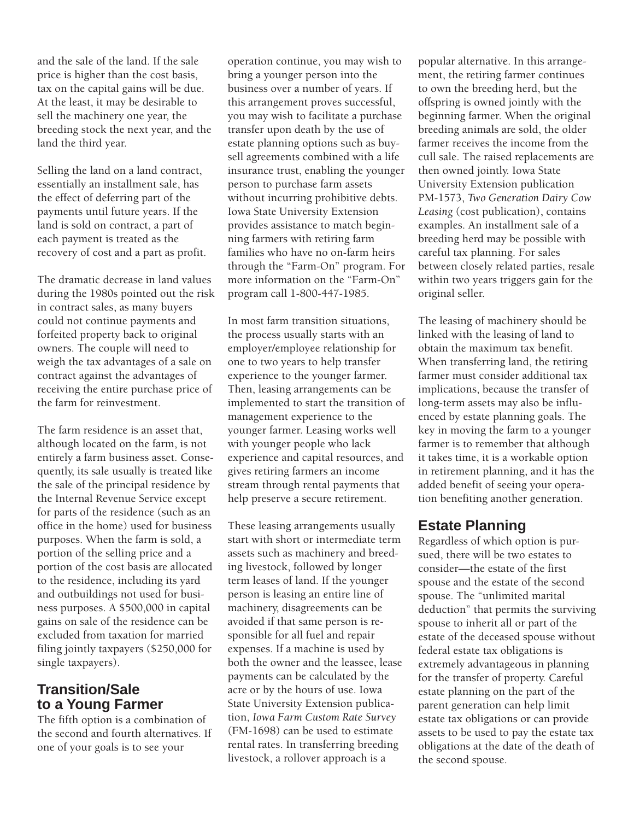and the sale of the land. If the sale price is higher than the cost basis, tax on the capital gains will be due. At the least, it may be desirable to sell the machinery one year, the breeding stock the next year, and the land the third year.

Selling the land on a land contract, essentially an installment sale, has the effect of deferring part of the payments until future years. If the land is sold on contract, a part of each payment is treated as the recovery of cost and a part as profit.

The dramatic decrease in land values during the 1980s pointed out the risk in contract sales, as many buyers could not continue payments and forfeited property back to original owners. The couple will need to weigh the tax advantages of a sale on contract against the advantages of receiving the entire purchase price of the farm for reinvestment.

The farm residence is an asset that, although located on the farm, is not entirely a farm business asset. Consequently, its sale usually is treated like the sale of the principal residence by the Internal Revenue Service except for parts of the residence (such as an office in the home) used for business purposes. When the farm is sold, a portion of the selling price and a portion of the cost basis are allocated to the residence, including its yard and outbuildings not used for business purposes. A \$500,000 in capital gains on sale of the residence can be excluded from taxation for married filing jointly taxpayers (\$250,000 for single taxpayers).

#### **Transition/Sale to a Young Farmer**

The fifth option is a combination of the second and fourth alternatives. If one of your goals is to see your

operation continue, you may wish to bring a younger person into the business over a number of years. If this arrangement proves successful, you may wish to facilitate a purchase transfer upon death by the use of estate planning options such as buysell agreements combined with a life insurance trust, enabling the younger person to purchase farm assets without incurring prohibitive debts. Iowa State University Extension provides assistance to match beginning farmers with retiring farm families who have no on-farm heirs through the "Farm-On" program. For more information on the "Farm-On" program call 1-800-447-1985.

In most farm transition situations, the process usually starts with an employer/employee relationship for one to two years to help transfer experience to the younger farmer. Then, leasing arrangements can be implemented to start the transition of management experience to the younger farmer. Leasing works well with younger people who lack experience and capital resources, and gives retiring farmers an income stream through rental payments that help preserve a secure retirement.

These leasing arrangements usually start with short or intermediate term assets such as machinery and breeding livestock, followed by longer term leases of land. If the younger person is leasing an entire line of machinery, disagreements can be avoided if that same person is responsible for all fuel and repair expenses. If a machine is used by both the owner and the leassee, lease payments can be calculated by the acre or by the hours of use. Iowa State University Extension publication, *Iowa Farm Custom Rate Survey*  (FM-1698) can be used to estimate rental rates. In transferring breeding livestock, a rollover approach is a

popular alternative. In this arrangement, the retiring farmer continues to own the breeding herd, but the offspring is owned jointly with the beginning farmer. When the original breeding animals are sold, the older farmer receives the income from the cull sale. The raised replacements are then owned jointly. Iowa State University Extension publication PM-1573, *Two Generation Dairy Cow Leasing* (cost publication), contains examples. An installment sale of a breeding herd may be possible with careful tax planning. For sales between closely related parties, resale within two years triggers gain for the original seller.

The leasing of machinery should be linked with the leasing of land to obtain the maximum tax benefit. When transferring land, the retiring farmer must consider additional tax implications, because the transfer of long-term assets may also be influenced by estate planning goals. The key in moving the farm to a younger farmer is to remember that although it takes time, it is a workable option in retirement planning, and it has the added benefit of seeing your operation benefiting another generation.

# **Estate Planning**

Regardless of which option is pursued, there will be two estates to consider—the estate of the first spouse and the estate of the second spouse. The "unlimited marital deduction" that permits the surviving spouse to inherit all or part of the estate of the deceased spouse without federal estate tax obligations is extremely advantageous in planning for the transfer of property. Careful estate planning on the part of the parent generation can help limit estate tax obligations or can provide assets to be used to pay the estate tax obligations at the date of the death of the second spouse.